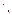